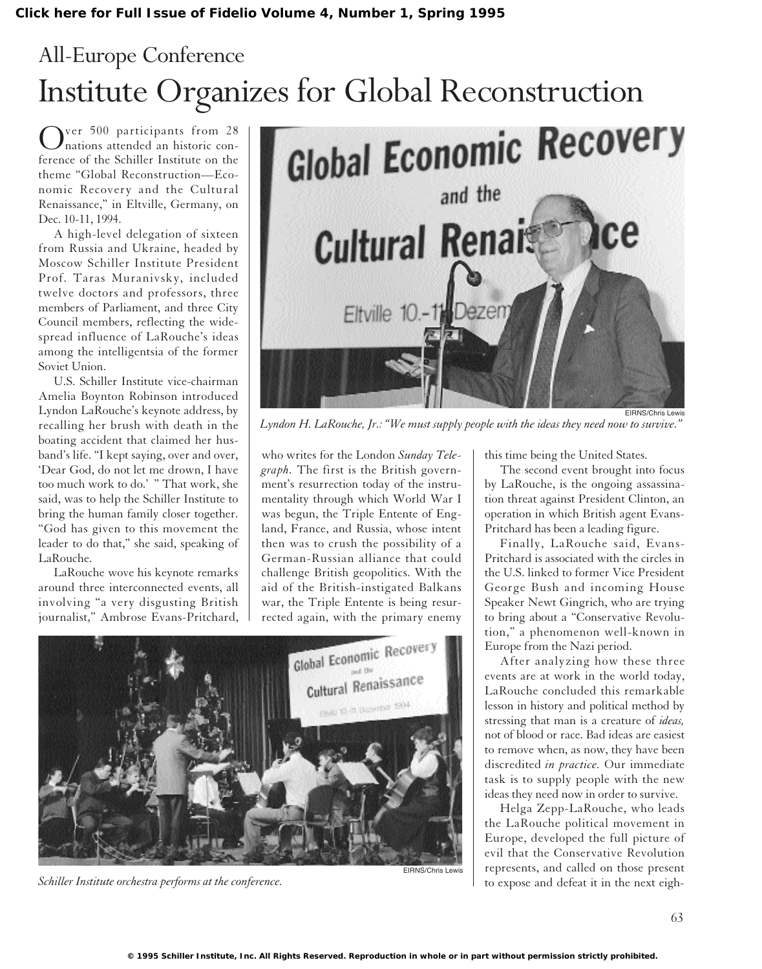## All-Europe Conference

ver 500 participants from 28 nations attended an historic conference of the Schiller Institute on the theme "Global Reconstruction—Economic Recovery and the Cultural Renaissance," in Eltville, Germany, on Dec. 10-11, 1994.

A high-level delegation of sixteen from Russia and Ukraine, headed by Moscow Schiller Institute President Prof. Taras Muranivsky, included twelve doctors and professors, three members of Parliament, and three City Council members, reflecting the widespread influence of LaRouche's ideas among the intelligentsia of the former Soviet Union.

U.S. Schiller Institute vice-chairman Amelia Boynton Robinson introduced Lyndon LaRouche's keynote address, by recalling her brush with death in the boating accident that claimed her husband's life. "I kept saying, over and over, 'Dear God, do not let me drown, I have too much work to do.' " That work, she said, was to help the Schiller Institute to bring the human family closer together. "God has given to this movement the leader to do that," she said, speaking of LaRouche.

LaRouche wove his keynote remarks around three interconnected events, all involving "a very disgusting British journalist," Ambrose Evans-Pritchard,



EIRNS/Chris Lewis *Lyndon H. LaRouche, Jr.: "We must supply people with the ideas they need now to survive."*

who writes for the London *Sunday Telegraph.* The first is the British government's resurrection today of the instrumentality through which World War I was begun, the Triple Entente of England, France, and Russia, whose intent then was to crush the possibility of a German-Russian alliance that could challenge British geopolitics. With the aid of the British-instigated Balkans war, the Triple Entente is being resurrected again, with the primary enemy



*Schiller Institute orchestra performs at the conference.*

this time being the United States.

The second event brought into focus by LaRouche, is the ongoing assassination threat against President Clinton, an operation in which British agent Evans-Pritchard has been a leading figure.

Finally, LaRouche said, Evans-Pritchard is associated with the circles in the U.S. linked to former Vice President George Bush and incoming House Speaker Newt Gingrich, who are trying to bring about a "Conservative Revolution," a phenomenon well-known in Europe from the Nazi period.

After analyzing how these three events are at work in the world today, LaRouche concluded this remarkable lesson in history and political method by stressing that man is a creature of *ideas,* not of blood or race. Bad ideas are easiest to remove when, as now, they have been discredited *in practice.* Our immediate task is to supply people with the new ideas they need now in order to survive.

Helga Zepp-LaRouche, who leads the LaRouche political movement in Europe, developed the full picture of evil that the Conservative Revolution represents, and called on those present to expose and defeat it in the next eigh-